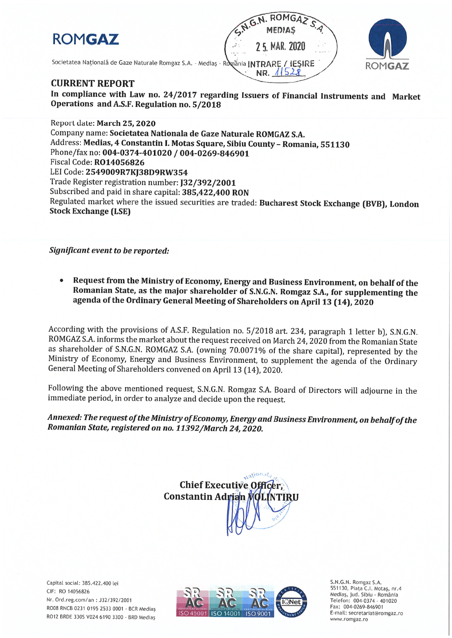# **ROMGAZ**

N. ROMGA **MEDIAS** 2 5. MAR. 2020 Societatea Națională de Gaze Naturale Romgaz S.A. - Mediaș - România INTRARE / IESIRE  $115$ NR.



## **CURRENT REPORT**

In compliance with Law no. 24/2017 regarding Issuers of Financial Instruments and Market Operations and A.S.F. Regulation no. 5/2018

Report date: March 25, 2020 Company name: Societatea Nationala de Gaze Naturale ROMGAZ S.A. Address: Medias, 4 Constantin I. Motas Square, Sibiu County - Romania, 551130 Phone/fax no: 004-0374-401020 / 004-0269-846901 Fiscal Code: RO14056826 LEI Code: 2549009R7KJ38D9RW354 Trade Register registration number: J32/392/2001 Subscribed and paid in share capital: 385,422,400 RON Regulated market where the issued securities are traded: Bucharest Stock Exchange (BVB), London **Stock Exchange (LSE)** 

Significant event to be reported:

Request from the Ministry of Economy, Energy and Business Environment, on behalf of the Romanian State, as the major shareholder of S.N.G.N. Romgaz S.A., for supplementing the agenda of the Ordinary General Meeting of Shareholders on April 13 (14), 2020

According with the provisions of A.S.F. Regulation no. 5/2018 art. 234, paragraph 1 letter b), S.N.G.N. ROMGAZ S.A. informs the market about the request received on March 24, 2020 from the Romanian State as shareholder of S.N.G.N. ROMGAZ S.A. (owning 70.0071% of the share capital), represented by the Ministry of Economy, Energy and Business Environment, to supplement the agenda of the Ordinary General Meeting of Shareholders convened on April 13 (14), 2020.

Following the above mentioned request, S.N.G.N. Romgaz S.A. Board of Directors will adjourne in the immediate period, in order to analyze and decide upon the request.

Annexed: The request of the Ministry of Economy, Energy and Business Environment, on behalf of the Romanian State, registered on no. 11392/March 24, 2020.



Capital social: 385,422,400 lei CIF: RO 14056826 Nr. Ord.reg.com/an: J32/392/2001 RO08 RNCB 0231 0195 2533 0001 - BCR Medias RO12 BRDE 330S V024 6190 3300 - BRD Medias



S.N.G.N. Romgaz S.A. 551130, Piața C.I. Motaș, nr.4 Mediaș, jud. Sibiu - România Telefon: 004-0374 - 401020<br>Fax: 004-0269-846901 E-mail: secretariat@romgaz.ro www.romgaz.ro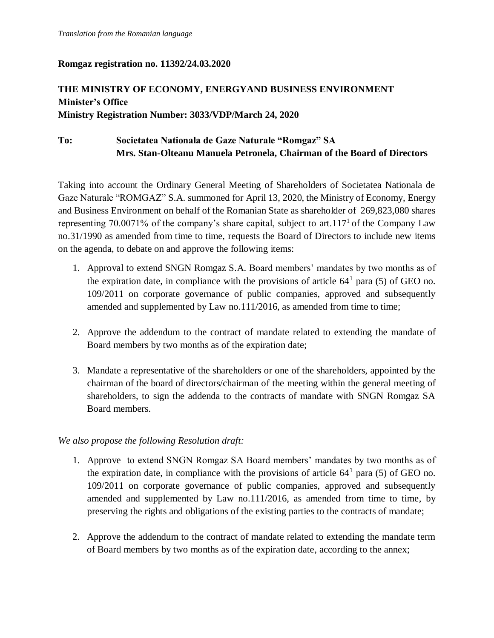### **Romgaz registration no. 11392/24.03.2020**

## **THE MINISTRY OF ECONOMY, ENERGYAND BUSINESS ENVIRONMENT Minister's Office Ministry Registration Number: 3033/VDP/March 24, 2020**

## **To: Societatea Nationala de Gaze Naturale "Romgaz" SA Mrs. Stan-Olteanu Manuela Petronela, Chairman of the Board of Directors**

Taking into account the Ordinary General Meeting of Shareholders of Societatea Nationala de Gaze Naturale "ROMGAZ" S.A. summoned for April 13, 2020, the Ministry of Economy, Energy and Business Environment on behalf of the Romanian State as shareholder of 269,823,080 shares representing 70.0071% of the company's share capital, subject to art.117<sup>1</sup> of the Company Law no.31/1990 as amended from time to time, requests the Board of Directors to include new items on the agenda, to debate on and approve the following items:

- 1. Approval to extend SNGN Romgaz S.A. Board members' mandates by two months as of the expiration date, in compliance with the provisions of article  $64<sup>1</sup>$  para (5) of GEO no. 109/2011 on corporate governance of public companies, approved and subsequently amended and supplemented by Law no.111/2016, as amended from time to time;
- 2. Approve the addendum to the contract of mandate related to extending the mandate of Board members by two months as of the expiration date;
- 3. Mandate a representative of the shareholders or one of the shareholders, appointed by the chairman of the board of directors/chairman of the meeting within the general meeting of shareholders, to sign the addenda to the contracts of mandate with SNGN Romgaz SA Board members.

### *We also propose the following Resolution draft:*

- 1. Approve to extend SNGN Romgaz SA Board members' mandates by two months as of the expiration date, in compliance with the provisions of article  $64<sup>1</sup>$  para (5) of GEO no. 109/2011 on corporate governance of public companies, approved and subsequently amended and supplemented by Law no.111/2016, as amended from time to time, by preserving the rights and obligations of the existing parties to the contracts of mandate;
- 2. Approve the addendum to the contract of mandate related to extending the mandate term of Board members by two months as of the expiration date, according to the annex;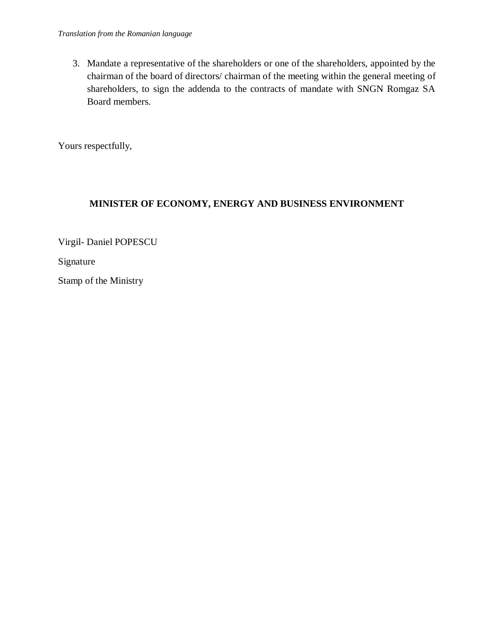3. Mandate a representative of the shareholders or one of the shareholders, appointed by the chairman of the board of directors/ chairman of the meeting within the general meeting of shareholders, to sign the addenda to the contracts of mandate with SNGN Romgaz SA Board members.

Yours respectfully,

## **MINISTER OF ECONOMY, ENERGY AND BUSINESS ENVIRONMENT**

Virgil- Daniel POPESCU

Signature

Stamp of the Ministry